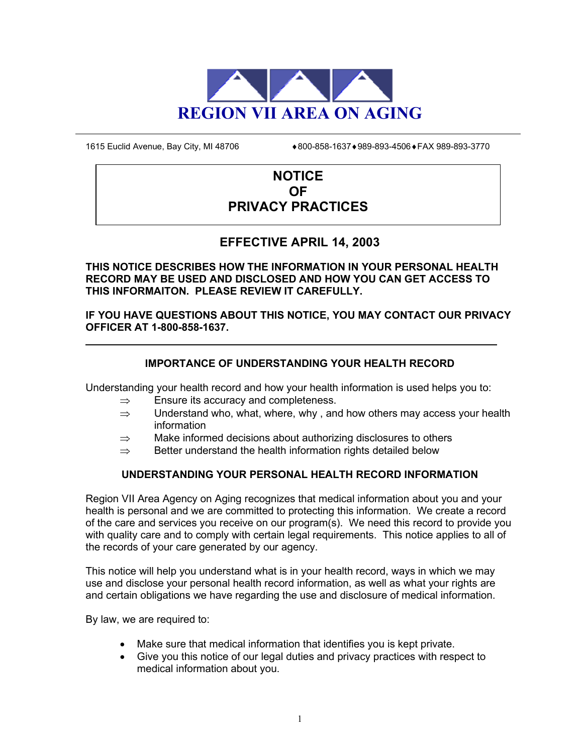

1615 Euclid Avenue, Bay City, MI 48706 **♦800-858-1637 ♦989-893-4506 ♦ FAX 989-893-3770** 

# **NOTICE OF PRIVACY PRACTICES**

# **EFFECTIVE APRIL 14, 2003**

**THIS NOTICE DESCRIBES HOW THE INFORMATION IN YOUR PERSONAL HEALTH RECORD MAY BE USED AND DISCLOSED AND HOW YOU CAN GET ACCESS TO THIS INFORMAITON. PLEASE REVIEW IT CAREFULLY.**

**IF YOU HAVE QUESTIONS ABOUT THIS NOTICE, YOU MAY CONTACT OUR PRIVACY OFFICER AT 1-800-858-1637.**

# **IMPORTANCE OF UNDERSTANDING YOUR HEALTH RECORD**

Understanding your health record and how your health information is used helps you to:

- $\Rightarrow$  Ensure its accuracy and completeness.
- $\Rightarrow$  Understand who, what, where, why, and how others may access your health information
- $\Rightarrow$  Make informed decisions about authorizing disclosures to others
- $\Rightarrow$  Better understand the health information rights detailed below

## **UNDERSTANDING YOUR PERSONAL HEALTH RECORD INFORMATION**

Region VII Area Agency on Aging recognizes that medical information about you and your health is personal and we are committed to protecting this information. We create a record of the care and services you receive on our program(s). We need this record to provide you with quality care and to comply with certain legal requirements. This notice applies to all of the records of your care generated by our agency.

This notice will help you understand what is in your health record, ways in which we may use and disclose your personal health record information, as well as what your rights are and certain obligations we have regarding the use and disclosure of medical information.

By law, we are required to:

- Make sure that medical information that identifies you is kept private.
- Give you this notice of our legal duties and privacy practices with respect to medical information about you.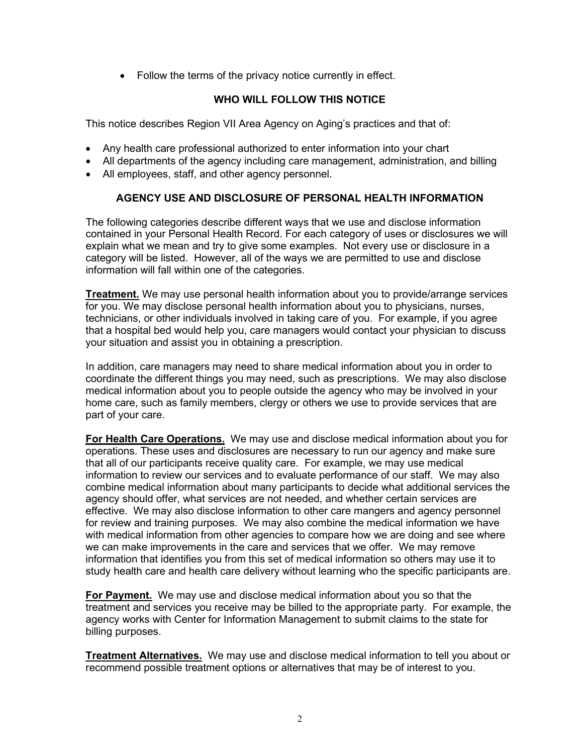• Follow the terms of the privacy notice currently in effect.

## **WHO WILL FOLLOW THIS NOTICE**

This notice describes Region VII Area Agency on Aging's practices and that of:

- Any health care professional authorized to enter information into your chart
- All departments of the agency including care management, administration, and billing
- All employees, staff, and other agency personnel.

## **AGENCY USE AND DISCLOSURE OF PERSONAL HEALTH INFORMATION**

The following categories describe different ways that we use and disclose information contained in your Personal Health Record. For each category of uses or disclosures we will explain what we mean and try to give some examples. Not every use or disclosure in a category will be listed. However, all of the ways we are permitted to use and disclose information will fall within one of the categories.

**Treatment.** We may use personal health information about you to provide/arrange services for you. We may disclose personal health information about you to physicians, nurses, technicians, or other individuals involved in taking care of you. For example, if you agree that a hospital bed would help you, care managers would contact your physician to discuss your situation and assist you in obtaining a prescription.

In addition, care managers may need to share medical information about you in order to coordinate the different things you may need, such as prescriptions. We may also disclose medical information about you to people outside the agency who may be involved in your home care, such as family members, clergy or others we use to provide services that are part of your care.

**For Health Care Operations.** We may use and disclose medical information about you for operations. These uses and disclosures are necessary to run our agency and make sure that all of our participants receive quality care. For example, we may use medical information to review our services and to evaluate performance of our staff. We may also combine medical information about many participants to decide what additional services the agency should offer, what services are not needed, and whether certain services are effective. We may also disclose information to other care mangers and agency personnel for review and training purposes. We may also combine the medical information we have with medical information from other agencies to compare how we are doing and see where we can make improvements in the care and services that we offer. We may remove information that identifies you from this set of medical information so others may use it to study health care and health care delivery without learning who the specific participants are.

**For Payment.** We may use and disclose medical information about you so that the treatment and services you receive may be billed to the appropriate party. For example, the agency works with Center for Information Management to submit claims to the state for billing purposes.

**Treatment Alternatives.** We may use and disclose medical information to tell you about or recommend possible treatment options or alternatives that may be of interest to you.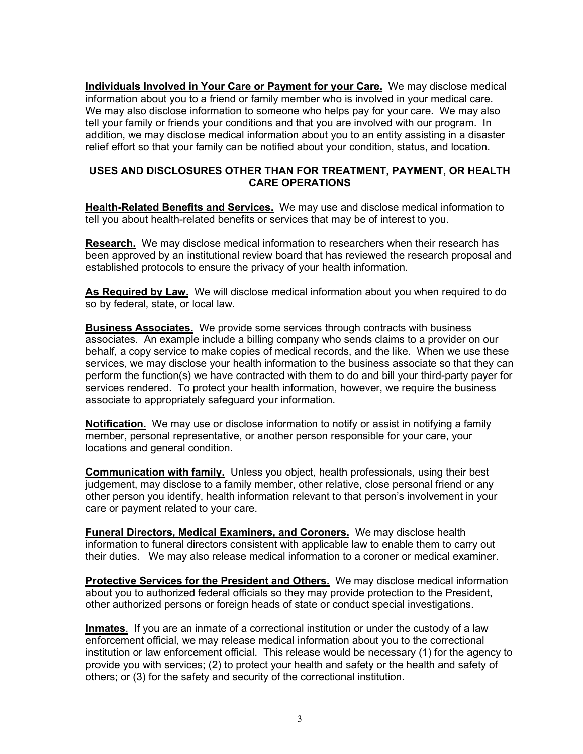**Individuals Involved in Your Care or Payment for your Care.** We may disclose medical information about you to a friend or family member who is involved in your medical care. We may also disclose information to someone who helps pay for your care. We may also tell your family or friends your conditions and that you are involved with our program. In addition, we may disclose medical information about you to an entity assisting in a disaster relief effort so that your family can be notified about your condition, status, and location.

## **USES AND DISCLOSURES OTHER THAN FOR TREATMENT, PAYMENT, OR HEALTH CARE OPERATIONS**

**Health-Related Benefits and Services.** We may use and disclose medical information to tell you about health-related benefits or services that may be of interest to you.

**Research.** We may disclose medical information to researchers when their research has been approved by an institutional review board that has reviewed the research proposal and established protocols to ensure the privacy of your health information.

As Required by Law. We will disclose medical information about you when required to do so by federal, state, or local law.

**Business Associates.** We provide some services through contracts with business associates. An example include a billing company who sends claims to a provider on our behalf, a copy service to make copies of medical records, and the like. When we use these services, we may disclose your health information to the business associate so that they can perform the function(s) we have contracted with them to do and bill your third-party payer for services rendered. To protect your health information, however, we require the business associate to appropriately safeguard your information.

**Notification.** We may use or disclose information to notify or assist in notifying a family member, personal representative, or another person responsible for your care, your locations and general condition.

**Communication with family.** Unless you object, health professionals, using their best judgement, may disclose to a family member, other relative, close personal friend or any other person you identify, health information relevant to that person's involvement in your care or payment related to your care.

**Funeral Directors, Medical Examiners, and Coroners.** We may disclose health information to funeral directors consistent with applicable law to enable them to carry out their duties. We may also release medical information to a coroner or medical examiner.

**Protective Services for the President and Others.** We may disclose medical information about you to authorized federal officials so they may provide protection to the President, other authorized persons or foreign heads of state or conduct special investigations.

**Inmates**. If you are an inmate of a correctional institution or under the custody of a law enforcement official, we may release medical information about you to the correctional institution or law enforcement official. This release would be necessary (1) for the agency to provide you with services; (2) to protect your health and safety or the health and safety of others; or (3) for the safety and security of the correctional institution.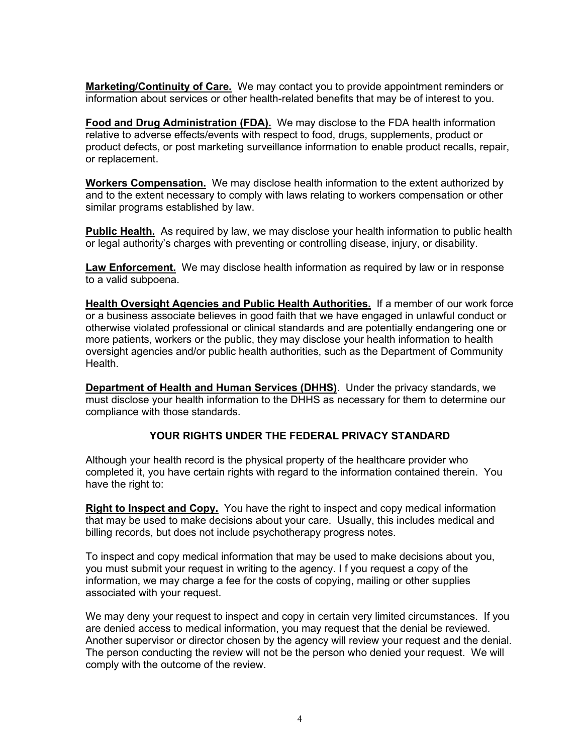**Marketing/Continuity of Care.** We may contact you to provide appointment reminders or information about services or other health-related benefits that may be of interest to you.

**Food and Drug Administration (FDA).** We may disclose to the FDA health information relative to adverse effects/events with respect to food, drugs, supplements, product or product defects, or post marketing surveillance information to enable product recalls, repair, or replacement.

**Workers Compensation.** We may disclose health information to the extent authorized by and to the extent necessary to comply with laws relating to workers compensation or other similar programs established by law.

**Public Health.** As required by law, we may disclose your health information to public health or legal authority's charges with preventing or controlling disease, injury, or disability.

**Law Enforcement.** We may disclose health information as required by law or in response to a valid subpoena.

**Health Oversight Agencies and Public Health Authorities.** If a member of our work force or a business associate believes in good faith that we have engaged in unlawful conduct or otherwise violated professional or clinical standards and are potentially endangering one or more patients, workers or the public, they may disclose your health information to health oversight agencies and/or public health authorities, such as the Department of Community Health.

**Department of Health and Human Services (DHHS)**. Under the privacy standards, we must disclose your health information to the DHHS as necessary for them to determine our compliance with those standards.

## **YOUR RIGHTS UNDER THE FEDERAL PRIVACY STANDARD**

Although your health record is the physical property of the healthcare provider who completed it, you have certain rights with regard to the information contained therein. You have the right to:

**Right to Inspect and Copy.** You have the right to inspect and copy medical information that may be used to make decisions about your care. Usually, this includes medical and billing records, but does not include psychotherapy progress notes.

To inspect and copy medical information that may be used to make decisions about you, you must submit your request in writing to the agency. I f you request a copy of the information, we may charge a fee for the costs of copying, mailing or other supplies associated with your request.

We may deny your request to inspect and copy in certain very limited circumstances. If you are denied access to medical information, you may request that the denial be reviewed. Another supervisor or director chosen by the agency will review your request and the denial. The person conducting the review will not be the person who denied your request. We will comply with the outcome of the review.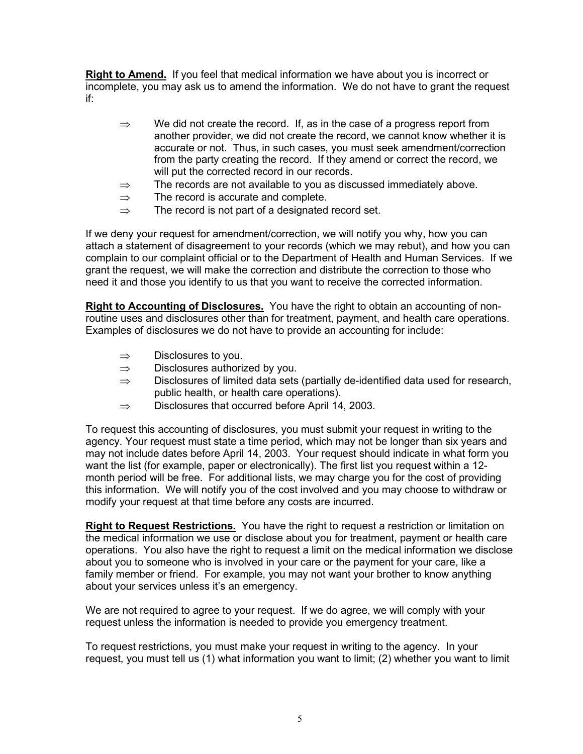**Right to Amend.** If you feel that medical information we have about you is incorrect or incomplete, you may ask us to amend the information. We do not have to grant the request if:

- $\Rightarrow$  We did not create the record. If, as in the case of a progress report from another provider, we did not create the record, we cannot know whether it is accurate or not. Thus, in such cases, you must seek amendment/correction from the party creating the record. If they amend or correct the record, we will put the corrected record in our records.
- $\Rightarrow$  The records are not available to you as discussed immediately above.
- $\Rightarrow$  The record is accurate and complete.
- $\Rightarrow$  The record is not part of a designated record set.

If we deny your request for amendment/correction, we will notify you why, how you can attach a statement of disagreement to your records (which we may rebut), and how you can complain to our complaint official or to the Department of Health and Human Services. If we grant the request, we will make the correction and distribute the correction to those who need it and those you identify to us that you want to receive the corrected information.

**Right to Accounting of Disclosures.** You have the right to obtain an accounting of nonroutine uses and disclosures other than for treatment, payment, and health care operations. Examples of disclosures we do not have to provide an accounting for include:

- ⇒ Disclosures to you.
- $\Rightarrow$  Disclosures authorized by you.
- $\Rightarrow$  Disclosures of limited data sets (partially de-identified data used for research, public health, or health care operations).
- ⇒ Disclosures that occurred before April 14, 2003.

To request this accounting of disclosures, you must submit your request in writing to the agency. Your request must state a time period, which may not be longer than six years and may not include dates before April 14, 2003. Your request should indicate in what form you want the list (for example, paper or electronically). The first list you request within a 12 month period will be free. For additional lists, we may charge you for the cost of providing this information. We will notify you of the cost involved and you may choose to withdraw or modify your request at that time before any costs are incurred.

**Right to Request Restrictions.** You have the right to request a restriction or limitation on the medical information we use or disclose about you for treatment, payment or health care operations. You also have the right to request a limit on the medical information we disclose about you to someone who is involved in your care or the payment for your care, like a family member or friend. For example, you may not want your brother to know anything about your services unless it's an emergency.

We are not required to agree to your request. If we do agree, we will comply with your request unless the information is needed to provide you emergency treatment.

To request restrictions, you must make your request in writing to the agency. In your request, you must tell us (1) what information you want to limit; (2) whether you want to limit